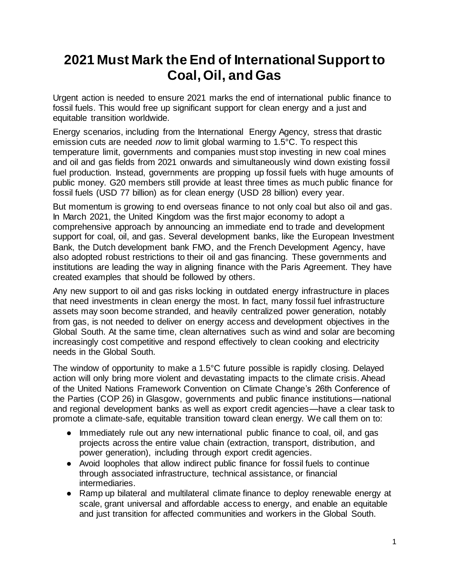# **2021 Must Mark the End of International Support to Coal, Oil, and Gas**

Urgent action is needed to ensure 2021 marks the end of international public finance to fossil fuels. This would free up significant support for clean energy and a just and equitable transition worldwide.

Energy scenarios, including from the International Energy Agency, stress that drastic emission cuts are needed *now* to limit global warming to 1.5°C. To respect this temperature limit, governments and companies must stop investing in new coal mines and oil and gas fields from 2021 onwards and simultaneously wind down existing fossil fuel production. Instead, governments are propping up fossil fuels with huge amounts of public money. G20 members still provide at least three times as much public finance for fossil fuels (USD 77 billion) as for clean energy (USD 28 billion) every year.

But momentum is growing to end overseas finance to not only coal but also oil and gas. In March 2021, the United Kingdom was the first major economy to adopt a comprehensive approach by announcing an immediate end to trade and development support for coal, oil, and gas. Several development banks, like the European Investment Bank, the Dutch development bank FMO, and the French Development Agency, have also adopted robust restrictions to their oil and gas financing. These governments and institutions are leading the way in aligning finance with the Paris Agreement. They have created examples that should be followed by others.

Any new support to oil and gas risks locking in outdated energy infrastructure in places that need investments in clean energy the most. In fact, many fossil fuel infrastructure assets may soon become stranded, and heavily centralized power generation, notably from gas, is not needed to deliver on energy access and development objectives in the Global South. At the same time, clean alternatives such as wind and solar are becoming increasingly cost competitive and respond effectively to clean cooking and electricity needs in the Global South.

The window of opportunity to make a 1.5°C future possible is rapidly closing. Delayed action will only bring more violent and devastating impacts to the climate crisis. Ahead of the United Nations Framework Convention on Climate Change's 26th Conference of the Parties (COP 26) in Glasgow, governments and public finance institutions—national and regional development banks as well as export credit agencies—have a clear task to promote a climate-safe, equitable transition toward clean energy. We call them on to:

- Immediately rule out any new international public finance to coal, oil, and gas projects across the entire value chain (extraction, transport, distribution, and power generation), including through export credit agencies.
- Avoid loopholes that allow indirect public finance for fossil fuels to continue through associated infrastructure, technical assistance, or financial intermediaries.
- Ramp up bilateral and multilateral climate finance to deploy renewable energy at scale, grant universal and affordable access to energy, and enable an equitable and just transition for affected communities and workers in the Global South.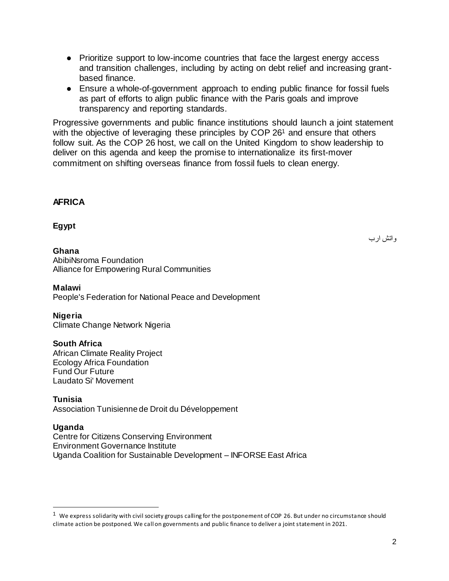- Prioritize support to low-income countries that face the largest energy access and transition challenges, including by acting on debt relief and increasing grantbased finance.
- Ensure a whole-of-government approach to ending public finance for fossil fuels as part of efforts to align public finance with the Paris goals and improve transparency and reporting standards.

Progressive governments and public finance institutions should launch a joint statement with the objective of leveraging these principles by COP 26<sup>1</sup> and ensure that others follow suit. As the COP 26 host, we call on the United Kingdom to show leadership to deliver on this agenda and keep the promise to internationalize its first-mover commitment on shifting overseas finance from fossil fuels to clean energy.

## **AFRICA**

## **Egypt**

#### **Ghana**

واتش ارب

AbibiNsroma Foundation Alliance for Empowering Rural Communities

#### **Malawi**

People's Federation for National Peace and Development

#### **Nigeria**

Climate Change Network Nigeria

#### **South Africa**

African Climate Reality Project Ecology Africa Foundation Fund Our Future Laudato Si' Movement

#### **Tunisia**

Association Tunisienne de Droit du Développement

#### **Uganda**

 $\overline{a}$ 

Centre for Citizens Conserving Environment Environment Governance Institute Uganda Coalition for Sustainable Development – INFORSE East Africa

<sup>&</sup>lt;sup>1</sup> We express solidarity with civil society groups calling for the postponement of COP 26. But under no circumstance should climate action be postponed. We call on governments and public finance to deliver a joint statement in 2021.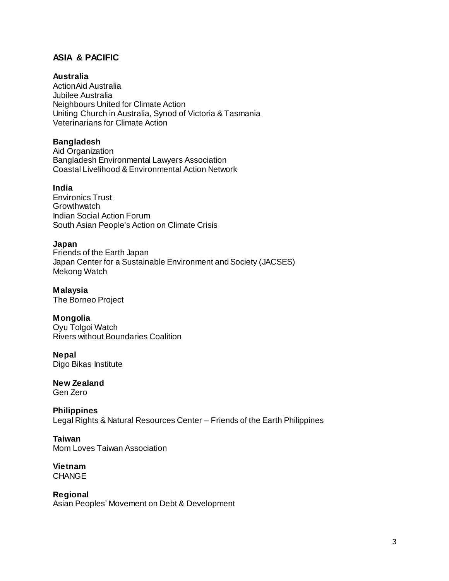# **ASIA & PACIFIC**

## **Australia**

ActionAid Australia Jubilee Australia Neighbours United for Climate Action Uniting Church in Australia, Synod of Victoria & Tasmania Veterinarians for Climate Action

## **Bangladesh**

Aid Organization Bangladesh Environmental Lawyers Association Coastal Livelihood & Environmental Action Network

#### **India**

Environics Trust **Growthwatch** Indian Social Action Forum South Asian People's Action on Climate Crisis

#### **Japan**

Friends of the Earth Japan Japan Center for a Sustainable Environment and Society (JACSES) Mekong Watch

#### **Malaysia**

The Borneo Project

#### **Mongolia**

Oyu Tolgoi Watch Rivers without Boundaries Coalition

#### **Nepal**  Digo Bikas Institute

**New Zealand** Gen Zero

**Philippines**  Legal Rights & Natural Resources Center – Friends of the Earth Philippines

**Taiwan**  Mom Loves Taiwan Association

**Vietnam CHANGE** 

**Regional**  Asian Peoples' Movement on Debt & Development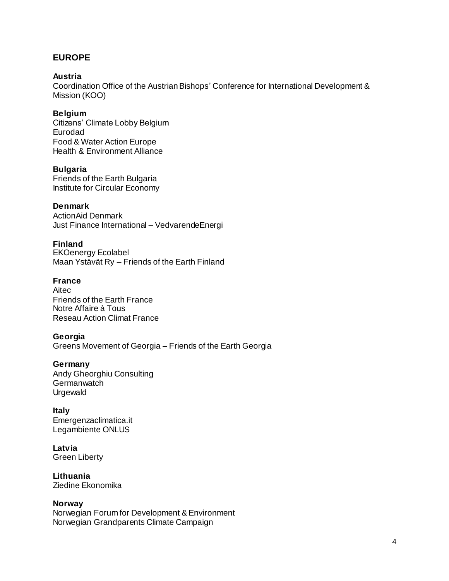# **EUROPE**

#### **Austria**

Coordination Office of the Austrian Bishops' Conference for International Development & Mission (KOO)

## **Belgium**

Citizens' Climate Lobby Belgium Eurodad Food & Water Action Europe Health & Environment Alliance

## **Bulgaria**

Friends of the Earth Bulgaria Institute for Circular Economy

## **Denmark**

ActionAid Denmark Just Finance International – VedvarendeEnergi

## **Finland**

EKOenergy Ecolabel Maan Ystävät Ry – Friends of the Earth Finland

## **France**

Aitec Friends of the Earth France Notre Affaire à Tous Reseau Action Climat France

## **Georgia**

Greens Movement of Georgia – Friends of the Earth Georgia

#### **Germany**

Andy Gheorghiu Consulting **Germanwatch** Urgewald

## **Italy**

Emergenzaclimatica.it Legambiente ONLUS

#### **Latvia**  Green Liberty

**Lithuania** Ziedine Ekonomika

## **Norway**

Norwegian Forum for Development & Environment Norwegian Grandparents Climate Campaign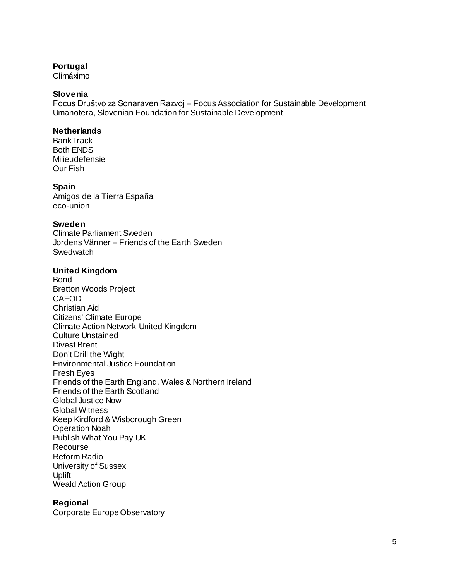#### **Portugal**

Climáximo

## **Slovenia**

Focus Društvo za Sonaraven Razvoj – Focus Association for Sustainable Development Umanotera, Slovenian Foundation for Sustainable Development

## **Netherlands**

**BankTrack** Both ENDS Milieudefensie Our Fish

#### **Spain**

Amigos de la Tierra España eco-union

## **Sweden**

Climate Parliament Sweden Jordens Vänner – Friends of the Earth Sweden **Swedwatch** 

#### **United Kingdom**

Bond Bretton Woods Project **CAFOD** Christian Aid Citizens' Climate Europe Climate Action Network United Kingdom Culture Unstained Divest Brent Don't Drill the Wight Environmental Justice Foundation Fresh Eyes Friends of the Earth England, Wales & Northern Ireland Friends of the Earth Scotland Global Justice Now Global Witness Keep Kirdford & Wisborough Green Operation Noah Publish What You Pay UK Recourse Reform Radio University of Sussex Uplift Weald Action Group

## **Regional**

Corporate Europe Observatory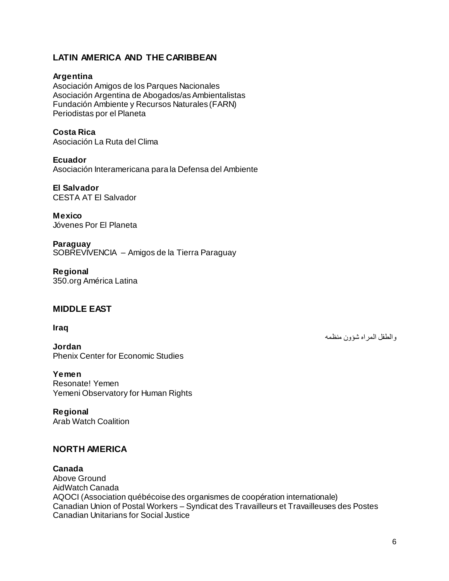# **LATIN AMERICA AND THE CARIBBEAN**

## **Argentina**

Asociación Amigos de los Parques Nacionales Asociación Argentina de Abogados/as Ambientalistas Fundación Ambiente y Recursos Naturales (FARN) Periodistas por el Planeta

**Costa Rica**  Asociación La Ruta del Clima

**Ecuador** Asociación Interamericana para la Defensa del Ambiente

**El Salvador** CESTA AT El Salvador

**Mexico** Jóvenes Por El Planeta

**Paraguay** SOBREVIVENCIA – Amigos de la Tierra Paraguay

**Regional**  350.org América Latina

## **MIDDLE EAST**

#### **Iraq**

**Jordan** Phenix Center for Economic Studies

**Yemen**  Resonate! Yemen Yemeni Observatory for Human Rights

**Regional**  Arab Watch Coalition

# **NORTH AMERICA**

## **Canada**

Above Ground AidWatch Canada AQOCI (Association québécoise des organismes de coopération internationale) Canadian Union of Postal Workers – Syndicat des Travailleurs et Travailleuses des Postes Canadian Unitarians for Social Justice

والطفل المراه شؤون منظمه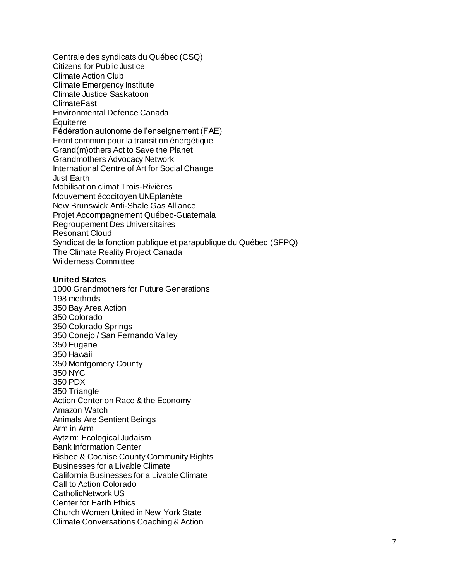Centrale des syndi cats du Québec (CSQ) Citizens for Public Justice Climate Action Club Climate Emergency Institute Climate Justice Saskatoon ClimateFast Environmental Defence Canada Équiterre Fédération autonome de l'enseignement (FAE) Front commun pour la transition énergétique Grand(m)others Act to Save the Planet Grandmothers Advocacy Network International Centre of Art for Social Change Just Earth Mobilisation climat Trois -Rivières Mouvement écocitoyen UNEplanète New Brunswick Anti -Shale Gas Alliance Projet Accompagnement Québec -Guatemala Regroupement Des Universitaires Resonant Cloud Syndicat de la fonction publique et parapublique du Québec (SFPQ) The Climate Reality Project Canada Wilderness Committee

#### **United States**

1000 Grandmothers for Future Generations 198 methods 350 Bay Area Action 350 Colorado 350 Colorado Springs 350 Conejo / San Fernando Valley 350 Eugene 350 Hawaii 350 Montgomery County 350 NYC 350 PDX 350 Triangle Action Center on Race & the Economy Amazon Watch Animals Are Sentient Beings Arm in Arm Aytzim: Ecological Judaism Bank Information Center Bisbee & Cochise County Community Rights Businesses for a Livable Climate California Businesses for a Livable Climate Call to Action Colorado CatholicNetwork US Center for Earth Ethics Church Women United in New York State Climate Conversations Coaching & Action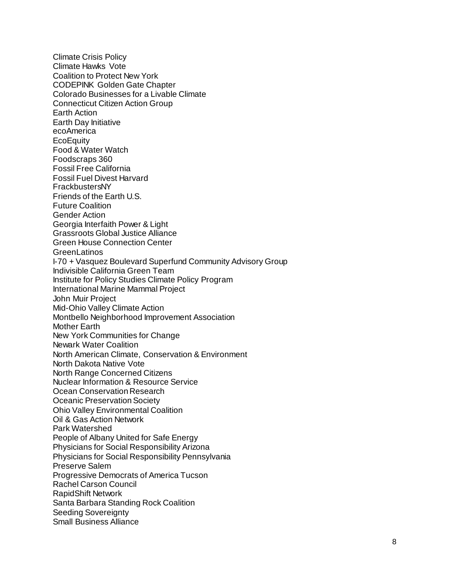Climate Crisis Policy Climate Hawks Vote Coalition to Protect New York CODEPINK Golden Gate Chapter Colorado Businesses for a Livable Climate Connecticut Citizen Action Group Earth Action Earth Day Initiative ecoAmerica **EcoEquity** Food & Water Watch Foodscraps 360 Fossil Free California Fossil Fuel Divest Harvard FrackbustersNY Friends of the Earth U.S. Future Coalition Gender Action Georgia Interfaith Power & Light Grassroots Global Justice Alliance Green House Connection Center GreenLatinos I-70 + Vasquez Boulevard Superfund Community Advisory Group Indivisible California Green Team Institute for Policy Studies Climate Policy Program International Marine Mammal Project John Muir Project Mid -Ohio Valley Climate Action Montbello Neighborhood Improvement Association Mother Earth New York Communities for Change Newark Water Coalitio n North American Climate, Conservation & Environment North Dakota Native Vote North Range Concerned Citizens Nuclear Information & Resource Service Ocean Conservation Research Oceanic Preservation Society Ohio Valley Environmental Coalition Oil & Gas Action Network Park Watershed People of Albany United for Safe Energy Physicians for Social Responsibility Arizona Physicians for Social Responsibility Pennsylvania Preserve Salem Progressive Democrats of America Tucson Rachel Carson Council RapidShift Network Santa Barbara Standing Rock Coalition Seeding Sovereignty Small Business Alliance